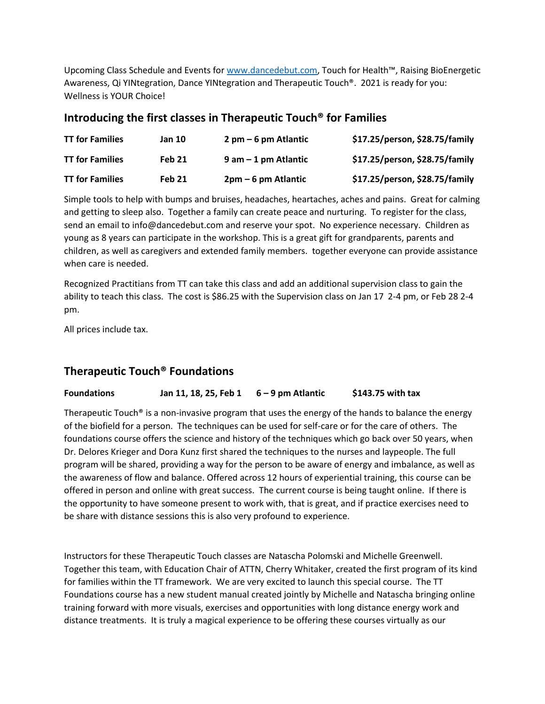Upcoming Class Schedule and Events fo[r www.dancedebut.com](http://www.dancedebut.com/), Touch for Health™, Raising BioEnergetic Awareness, Qi YINtegration, Dance YINtegration and Therapeutic Touch®. 2021 is ready for you: Wellness is YOUR Choice!

## **Introducing the first classes in Therapeutic Touch® for Families**

| <b>TT for Families</b> | Jan 10        | $2$ pm $-6$ pm Atlantic | \$17.25/person, \$28.75/family |
|------------------------|---------------|-------------------------|--------------------------------|
| <b>TT for Families</b> | <b>Feb 21</b> | $9$ am $-1$ pm Atlantic | \$17.25/person, \$28.75/family |
| <b>TT for Families</b> | Feb 21        | $2pm-6$ pm Atlantic     | \$17.25/person, \$28.75/family |

Simple tools to help with bumps and bruises, headaches, heartaches, aches and pains. Great for calming and getting to sleep also. Together a family can create peace and nurturing. To register for the class, send an email to info@dancedebut.com and reserve your spot. No experience necessary. Children as young as 8 years can participate in the workshop. This is a great gift for grandparents, parents and children, as well as caregivers and extended family members. together everyone can provide assistance when care is needed.

Recognized Practitians from TT can take this class and add an additional supervision class to gain the ability to teach this class. The cost is \$86.25 with the Supervision class on Jan 17 2-4 pm, or Feb 28 2-4 pm.

All prices include tax.

## **Therapeutic Touch® Foundations**

**Foundations Jan 11, 18, 25, Feb 1 6 – 9 pm Atlantic \$143.75 with tax**

Therapeutic Touch<sup>®</sup> is a non-invasive program that uses the energy of the hands to balance the energy of the biofield for a person. The techniques can be used for self-care or for the care of others. The foundations course offers the science and history of the techniques which go back over 50 years, when Dr. Delores Krieger and Dora Kunz first shared the techniques to the nurses and laypeople. The full program will be shared, providing a way for the person to be aware of energy and imbalance, as well as the awareness of flow and balance. Offered across 12 hours of experiential training, this course can be offered in person and online with great success. The current course is being taught online. If there is the opportunity to have someone present to work with, that is great, and if practice exercises need to be share with distance sessions this is also very profound to experience.

Instructors for these Therapeutic Touch classes are Natascha Polomski and Michelle Greenwell. Together this team, with Education Chair of ATTN, Cherry Whitaker, created the first program of its kind for families within the TT framework. We are very excited to launch this special course. The TT Foundations course has a new student manual created jointly by Michelle and Natascha bringing online training forward with more visuals, exercises and opportunities with long distance energy work and distance treatments. It is truly a magical experience to be offering these courses virtually as our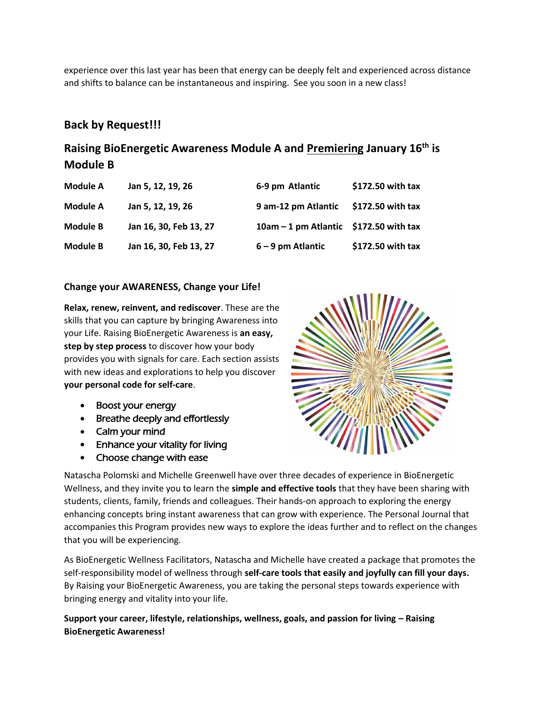experience over this last year has been that energy can be deeply felt and experienced across distance and shifts to balance can be instantaneous and inspiring. See you soon in a new class!

# **Back by Request!!!**

# **Raising BioEnergetic Awareness Module A and Premiering January 16th is Module B**

| Module A        | Jan 5, 12, 19, 26      | 6-9 pm Atlantic                          | \$172.50 with tax |
|-----------------|------------------------|------------------------------------------|-------------------|
| Module A        | Jan 5, 12, 19, 26      | 9 am-12 pm Atlantic                      | \$172.50 with tax |
| <b>Module B</b> | Jan 16, 30, Feb 13, 27 | $10am - 1$ pm Atlantic \$172.50 with tax |                   |
| <b>Module B</b> | Jan 16, 30, Feb 13, 27 | $6 - 9$ pm Atlantic                      | \$172.50 with tax |

### **Change your AWARENESS, Change your Life!**

**Relax, renew, reinvent, and rediscover**. These are the skills that you can capture by bringing Awareness into your Life. Raising BioEnergetic Awareness is **an easy, step by step process** to discover how your body provides you with signals for care. Each section assists with new ideas and explorations to help you discover **your personal code for self-care**.

- Boost your energy
- Breathe deeply and effortlessly
- Calm your mind
- Enhance your vitality for living
- Choose change with ease



Natascha Polomski and Michelle Greenwell have over three decades of experience in BioEnergetic Wellness, and they invite you to learn the **simple and effective tools** that they have been sharing with students, clients, family, friends and colleagues. Their hands-on approach to exploring the energy enhancing concepts bring instant awareness that can grow with experience. The Personal Journal that accompanies this Program provides new ways to explore the ideas further and to reflect on the changes that you will be experiencing.

As BioEnergetic Wellness Facilitators, Natascha and Michelle have created a package that promotes the self-responsibility model of wellness through **self-care tools that easily and joyfully can fill your days.** By Raising your BioEnergetic Awareness, you are taking the personal steps towards experience with bringing energy and vitality into your life.

**Support your career, lifestyle, relationships, wellness, goals, and passion for living – Raising BioEnergetic Awareness!**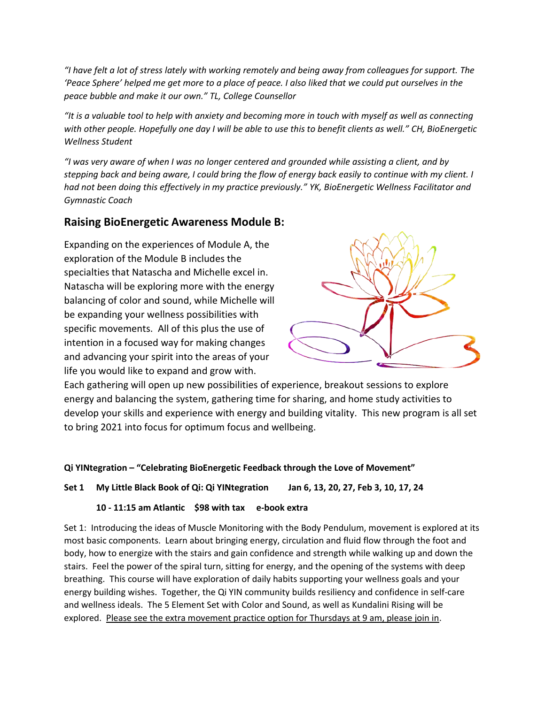"I have felt a lot of stress lately with working remotely and being away from colleagues for support. The 'Peace Sphere' helped me get more to a place of peace. I also liked that we could put ourselves in the *peace bubble and make it our own." TL, College Counsellor*

*"It is a valuable tool to help with anxiety and becoming more in touch with myself as well as connecting with other people. Hopefully one day I will be able to use this to benefit clients as well." CH, BioEnergetic Wellness Student*

*"I was very aware of when I was no longer centered and grounded while assisting a client, and by stepping back and being aware, I could bring the flow of energy back easily to continue with my client. I had not been doing this effectively in my practice previously." YK, BioEnergetic Wellness Facilitator and Gymnastic Coach*

## **Raising BioEnergetic Awareness Module B:**

Expanding on the experiences of Module A, the exploration of the Module B includes the specialties that Natascha and Michelle excel in. Natascha will be exploring more with the energy balancing of color and sound, while Michelle will be expanding your wellness possibilities with specific movements. All of this plus the use of intention in a focused way for making changes and advancing your spirit into the areas of your life you would like to expand and grow with.



Each gathering will open up new possibilities of experience, breakout sessions to explore energy and balancing the system, gathering time for sharing, and home study activities to develop your skills and experience with energy and building vitality. This new program is all set to bring 2021 into focus for optimum focus and wellbeing.

## **Qi YINtegration – "Celebrating BioEnergetic Feedback through the Love of Movement"**

**Set 1 My Little Black Book of Qi: Qi YINtegration Jan 6, 13, 20, 27, Feb 3, 10, 17, 24**

### **10 - 11:15 am Atlantic \$98 with tax e-book extra**

Set 1: Introducing the ideas of Muscle Monitoring with the Body Pendulum, movement is explored at its most basic components. Learn about bringing energy, circulation and fluid flow through the foot and body, how to energize with the stairs and gain confidence and strength while walking up and down the stairs. Feel the power of the spiral turn, sitting for energy, and the opening of the systems with deep breathing. This course will have exploration of daily habits supporting your wellness goals and your energy building wishes. Together, the Qi YIN community builds resiliency and confidence in self-care and wellness ideals. The 5 Element Set with Color and Sound, as well as Kundalini Rising will be explored. Please see the extra movement practice option for Thursdays at 9 am, please join in.